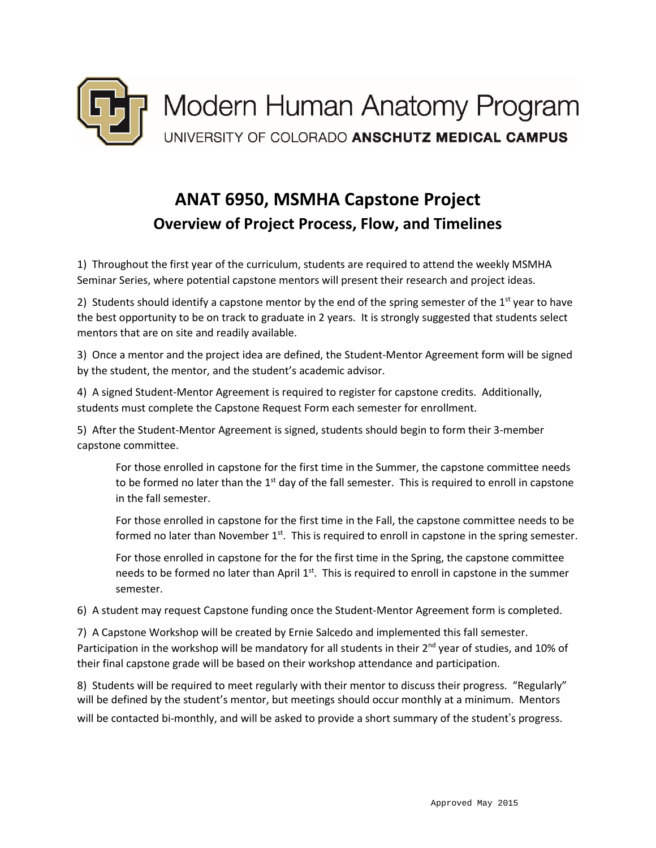

## **ANAT 6950, MSMHA Capstone Project Overview of Project Process, Flow, and Timelines**

1) Throughout the first year of the curriculum, students are required to attend the weekly MSMHA Seminar Series, where potential capstone mentors will present their research and project ideas.

2) Students should identify a capstone mentor by the end of the spring semester of the  $1<sup>st</sup>$  year to have the best opportunity to be on track to graduate in 2 years. It is strongly suggested that students select mentors that are on site and readily available.

3) Once a mentor and the project idea are defined, the Student-Mentor Agreement form will be signed by the student, the mentor, and the student's academic advisor.

4) A signed Student-Mentor Agreement is required to register for capstone credits. Additionally, students must complete the Capstone Request Form each semester for enrollment.

5) After the Student-Mentor Agreement is signed, students should begin to form their 3-member capstone committee.

For those enrolled in capstone for the first time in the Summer, the capstone committee needs to be formed no later than the  $1<sup>st</sup>$  day of the fall semester. This is required to enroll in capstone in the fall semester.

For those enrolled in capstone for the first time in the Fall, the capstone committee needs to be formed no later than November 1<sup>st</sup>. This is required to enroll in capstone in the spring semester.

For those enrolled in capstone for the for the first time in the Spring, the capstone committee needs to be formed no later than April 1<sup>st</sup>. This is required to enroll in capstone in the summer semester.

6) A student may request Capstone funding once the Student-Mentor Agreement form is completed.

7) A Capstone Workshop will be created by Ernie Salcedo and implemented this fall semester. Participation in the workshop will be mandatory for all students in their 2<sup>nd</sup> year of studies, and 10% of their final capstone grade will be based on their workshop attendance and participation.

8) Students will be required to meet regularly with their mentor to discuss their progress. "Regularly" will be defined by the student's mentor, but meetings should occur monthly at a minimum. Mentors will be contacted bi-monthly, and will be asked to provide a short summary of the student's progress.